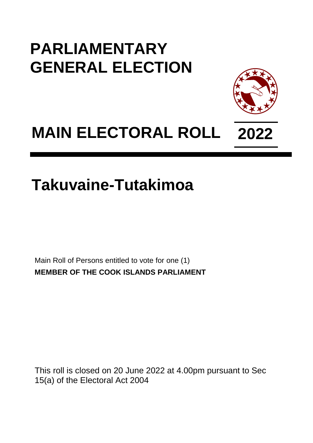## **PARLIAMENTARY GENERAL ELECTION**



## **MAIN ELECTORAL ROLL 2022**

## **Takuvaine-Tutakimoa**

Main Roll of Persons entitled to vote for one (1) **MEMBER OF THE COOK ISLANDS PARLIAMENT**

This roll is closed on 20 June 2022 at 4.00pm pursuant to Sec 15(a) of the Electoral Act 2004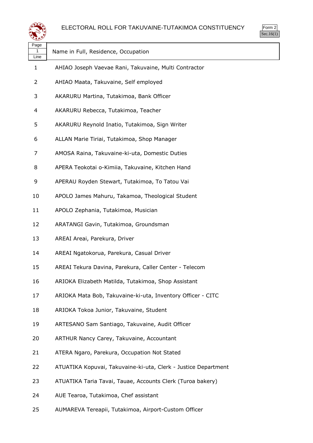

| Page<br>1<br>Line | Name in Full, Residence, Occupation                            |
|-------------------|----------------------------------------------------------------|
| 1                 | AHIAO Joseph Vaevae Rani, Takuvaine, Multi Contractor          |
| 2                 | AHIAO Maata, Takuvaine, Self employed                          |
| 3                 | AKARURU Martina, Tutakimoa, Bank Officer                       |
| 4                 | AKARURU Rebecca, Tutakimoa, Teacher                            |
| 5                 | AKARURU Reynold Inatio, Tutakimoa, Sign Writer                 |
| 6                 | ALLAN Marie Tiriai, Tutakimoa, Shop Manager                    |
| 7                 | AMOSA Raina, Takuvaine-ki-uta, Domestic Duties                 |
| 8                 | APERA Teokotai o-Kimiia, Takuvaine, Kitchen Hand               |
| 9                 | APERAU Royden Stewart, Tutakimoa, To Tatou Vai                 |
| 10                | APOLO James Mahuru, Takamoa, Theological Student               |
| 11                | APOLO Zephania, Tutakimoa, Musician                            |
| 12                | ARATANGI Gavin, Tutakimoa, Groundsman                          |
| 13                | AREAI Areai, Parekura, Driver                                  |
| 14                | AREAI Ngatokorua, Parekura, Casual Driver                      |
| 15                | AREAI Tekura Davina, Parekura, Caller Center - Telecom         |
| 16                | ARIOKA Elizabeth Matilda, Tutakimoa, Shop Assistant            |
| 17                | ARIOKA Mata Bob, Takuvaine-ki-uta, Inventory Officer - CITC    |
| 18                | ARIOKA Tokoa Junior, Takuvaine, Student                        |
| 19                | ARTESANO Sam Santiago, Takuvaine, Audit Officer                |
| 20                | ARTHUR Nancy Carey, Takuvaine, Accountant                      |
| 21                | ATERA Ngaro, Parekura, Occupation Not Stated                   |
| 22                | ATUATIKA Kopuvai, Takuvaine-ki-uta, Clerk - Justice Department |
| 23                | ATUATIKA Taria Tavai, Tauae, Accounts Clerk (Turoa bakery)     |
| 24                | AUE Tearoa, Tutakimoa, Chef assistant                          |
| 25                | AUMAREVA Tereapii, Tutakimoa, Airport-Custom Officer           |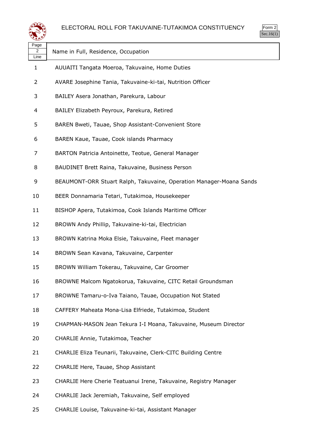



| Page<br>2<br>Line | Name in Full, Residence, Occupation                                 |
|-------------------|---------------------------------------------------------------------|
| 1                 | AUUAITI Tangata Moeroa, Takuvaine, Home Duties                      |
| 2                 | AVARE Josephine Tania, Takuvaine-ki-tai, Nutrition Officer          |
| 3                 | BAILEY Asera Jonathan, Parekura, Labour                             |
| 4                 | BAILEY Elizabeth Peyroux, Parekura, Retired                         |
| 5                 | BAREN Bweti, Tauae, Shop Assistant-Convenient Store                 |
| 6                 | BAREN Kaue, Tauae, Cook islands Pharmacy                            |
| 7                 | BARTON Patricia Antoinette, Teotue, General Manager                 |
| 8                 | BAUDINET Brett Raina, Takuvaine, Business Person                    |
| 9                 | BEAUMONT-ORR Stuart Ralph, Takuvaine, Operation Manager-Moana Sands |
| 10                | BEER Donnamaria Tetari, Tutakimoa, Housekeeper                      |
| 11                | BISHOP Apera, Tutakimoa, Cook Islands Maritime Officer              |
| 12                | BROWN Andy Phillip, Takuvaine-ki-tai, Electrician                   |
| 13                | BROWN Katrina Moka Elsie, Takuvaine, Fleet manager                  |
| 14                | BROWN Sean Kavana, Takuvaine, Carpenter                             |
| 15                | BROWN William Tokerau, Takuvaine, Car Groomer                       |
| 16                | BROWNE Malcom Ngatokorua, Takuvaine, CITC Retail Groundsman         |
| 17                | BROWNE Tamaru-o-Iva Taiano, Tauae, Occupation Not Stated            |
| 18                | CAFFERY Maheata Mona-Lisa Elfriede, Tutakimoa, Student              |
| 19                | CHAPMAN-MASON Jean Tekura I-I Moana, Takuvaine, Museum Director     |
| 20                | CHARLIE Annie, Tutakimoa, Teacher                                   |
| 21                | CHARLIE Eliza Teunarii, Takuvaine, Clerk-CITC Building Centre       |
| 22                | CHARLIE Here, Tauae, Shop Assistant                                 |
| 23                | CHARLIE Here Cherie Teatuanui Irene, Takuvaine, Registry Manager    |
| 24                | CHARLIE Jack Jeremiah, Takuvaine, Self employed                     |
| 25                | CHARLIE Louise, Takuvaine-ki-tai, Assistant Manager                 |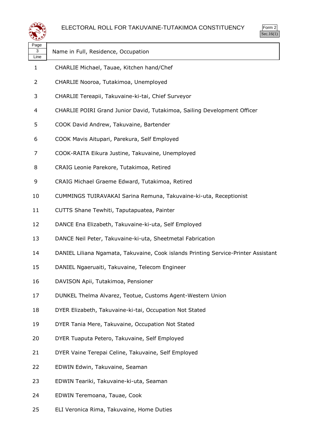

| Page<br>3<br>Line | Name in Full, Residence, Occupation                                                |
|-------------------|------------------------------------------------------------------------------------|
| 1                 | CHARLIE Michael, Tauae, Kitchen hand/Chef                                          |
| 2                 | CHARLIE Nooroa, Tutakimoa, Unemployed                                              |
| 3                 | CHARLIE Tereapii, Takuvaine-ki-tai, Chief Surveyor                                 |
| 4                 | CHARLIE POIRI Grand Junior David, Tutakimoa, Sailing Development Officer           |
| 5                 | COOK David Andrew, Takuvaine, Bartender                                            |
| 6                 | COOK Mavis Aitupari, Parekura, Self Employed                                       |
| 7                 | COOK-RAITA Eikura Justine, Takuvaine, Unemployed                                   |
| 8                 | CRAIG Leonie Parekore, Tutakimoa, Retired                                          |
| 9                 | CRAIG Michael Graeme Edward, Tutakimoa, Retired                                    |
| 10                | CUMMINGS TUIRAVAKAI Sarina Remuna, Takuvaine-ki-uta, Receptionist                  |
| 11                | CUTTS Shane Tewhiti, Taputapuatea, Painter                                         |
| 12                | DANCE Ena Elizabeth, Takuvaine-ki-uta, Self Employed                               |
| 13                | DANCE Neil Peter, Takuvaine-ki-uta, Sheetmetal Fabrication                         |
| 14                | DANIEL Liliana Ngamata, Takuvaine, Cook islands Printing Service-Printer Assistant |
| 15                | DANIEL Ngaeruaiti, Takuvaine, Telecom Engineer                                     |
| 16                | DAVISON Apii, Tutakimoa, Pensioner                                                 |
| 17                | DUNKEL Thelma Alvarez, Teotue, Customs Agent-Western Union                         |
| 18                | DYER Elizabeth, Takuvaine-ki-tai, Occupation Not Stated                            |
| 19                | DYER Tania Mere, Takuvaine, Occupation Not Stated                                  |
| 20                | DYER Tuaputa Petero, Takuvaine, Self Employed                                      |
| 21                | DYER Vaine Terepai Celine, Takuvaine, Self Employed                                |
| 22                | EDWIN Edwin, Takuvaine, Seaman                                                     |
| 23                | EDWIN Teariki, Takuvaine-ki-uta, Seaman                                            |
| 24                | EDWIN Teremoana, Tauae, Cook                                                       |
|                   |                                                                                    |

ELI Veronica Rima, Takuvaine, Home Duties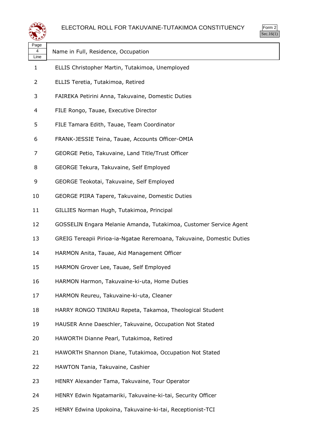



| Page<br>4<br>Line | Name in Full, Residence, Occupation                                   |
|-------------------|-----------------------------------------------------------------------|
| 1                 | ELLIS Christopher Martin, Tutakimoa, Unemployed                       |
| 2                 | ELLIS Teretia, Tutakimoa, Retired                                     |
| 3                 | FAIREKA Petirini Anna, Takuvaine, Domestic Duties                     |
| 4                 | FILE Rongo, Tauae, Executive Director                                 |
| 5                 | FILE Tamara Edith, Tauae, Team Coordinator                            |
| 6                 | FRANK-JESSIE Teina, Tauae, Accounts Officer-OMIA                      |
| 7                 | GEORGE Petio, Takuvaine, Land Title/Trust Officer                     |
| 8                 | GEORGE Tekura, Takuvaine, Self Employed                               |
| 9                 | GEORGE Teokotai, Takuvaine, Self Employed                             |
| 10                | GEORGE PIIRA Tapere, Takuvaine, Domestic Duties                       |
| 11                | GILLIES Norman Hugh, Tutakimoa, Principal                             |
| 12                | GOSSELIN Engara Melanie Amanda, Tutakimoa, Customer Service Agent     |
| 13                | GREIG Tereapii Pirioa-ia-Ngatae Reremoana, Takuvaine, Domestic Duties |
| 14                | HARMON Anita, Tauae, Aid Management Officer                           |
| 15                | HARMON Grover Lee, Tauae, Self Employed                               |
| 16                | HARMON Harmon, Takuvaine-ki-uta, Home Duties                          |
| 17                | HARMON Reureu, Takuvaine-ki-uta, Cleaner                              |
| 18                | HARRY RONGO TINIRAU Repeta, Takamoa, Theological Student              |
| 19                | HAUSER Anne Daeschler, Takuvaine, Occupation Not Stated               |
| 20                | HAWORTH Dianne Pearl, Tutakimoa, Retired                              |
| 21                | HAWORTH Shannon Diane, Tutakimoa, Occupation Not Stated               |
| 22                | HAWTON Tania, Takuvaine, Cashier                                      |
| 23                | HENRY Alexander Tama, Takuvaine, Tour Operator                        |
| 24                | HENRY Edwin Ngatamariki, Takuvaine-ki-tai, Security Officer           |
| 25                | HENRY Edwina Upokoina, Takuvaine-ki-tai, Receptionist-TCI             |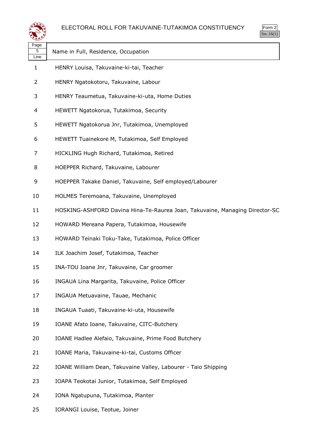

| rm<br>л |
|---------|
|         |

| Page<br>5<br>Line | Name in Full, Residence, Occupation                                         |
|-------------------|-----------------------------------------------------------------------------|
| 1                 | HENRY Louisa, Takuvaine-ki-tai, Teacher                                     |
| 2                 | HENRY Ngatokotoru, Takuvaine, Labour                                        |
| 3                 | HENRY Teaumetua, Takuvaine-ki-uta, Home Duties                              |
| 4                 | HEWETT Ngatokorua, Tutakimoa, Security                                      |
| 5                 | HEWETT Ngatokorua Jnr, Tutakimoa, Unemployed                                |
| 6                 | HEWETT Tuainekore M, Tutakimoa, Self Employed                               |
| 7                 | HICKLING Hugh Richard, Tutakimoa, Retired                                   |
| 8                 | HOEPPER Richard, Takuvaine, Labourer                                        |
| 9                 | HOEPPER Takake Daniel, Takuvaine, Self employed/Labourer                    |
| 10                | HOLMES Teremoana, Takuvaine, Unemployed                                     |
| 11                | HOSKING-ASHFORD Davina Hina-Te-Raurea Joan, Takuvaine, Managing Director-SC |
| 12                | HOWARD Mereana Papera, Tutakimoa, Housewife                                 |
| 13                | HOWARD Teinaki Toku-Take, Tutakimoa, Police Officer                         |
| 14                | ILK Joachim Josef, Tutakimoa, Teacher                                       |
| 15                | INA-TOU Ioane Jnr, Takuvaine, Car groomer                                   |
| 16                | INGAUA Lina Margarita, Takuvaine, Police Officer                            |
| 17                | INGAUA Metuavaine, Tauae, Mechanic                                          |
| 18                | INGAUA Tuaati, Takuvaine-ki-uta, Housewife                                  |
| 19                | IOANE Afato Ioane, Takuvaine, CITC-Butchery                                 |
| 20                | IOANE Hadlee Alefaio, Takuvaine, Prime Food Butchery                        |
| 21                | IOANE Maria, Takuvaine-ki-tai, Customs Officer                              |
| 22                | IOANE William Dean, Takuvaine Valley, Labourer - Taio Shipping              |
| 23                | IOAPA Teokotai Junior, Tutakimoa, Self Employed                             |
| 24                | IONA Ngatupuna, Tutakimoa, Planter                                          |
|                   |                                                                             |

IORANGI Louise, Teotue, Joiner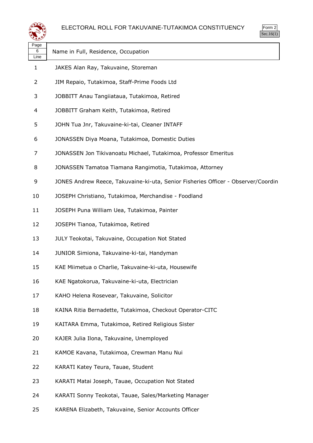

| Page<br>6<br>Line | Name in Full, Residence, Occupation                                               |
|-------------------|-----------------------------------------------------------------------------------|
| $\mathbf{1}$      | JAKES Alan Ray, Takuvaine, Storeman                                               |
| 2                 | JIM Repaio, Tutakimoa, Staff-Prime Foods Ltd                                      |
| 3                 | JOBBITT Anau Tangiiataua, Tutakimoa, Retired                                      |
| 4                 | JOBBITT Graham Keith, Tutakimoa, Retired                                          |
| 5                 | JOHN Tua Jnr, Takuvaine-ki-tai, Cleaner INTAFF                                    |
| 6                 | JONASSEN Diya Moana, Tutakimoa, Domestic Duties                                   |
| 7                 | JONASSEN Jon Tikivanoatu Michael, Tutakimoa, Professor Emeritus                   |
| 8                 | JONASSEN Tamatoa Tiamana Rangimotia, Tutakimoa, Attorney                          |
| 9                 | JONES Andrew Reece, Takuvaine-ki-uta, Senior Fisheries Officer - Observer/Coordin |
| 10                | JOSEPH Christiano, Tutakimoa, Merchandise - Foodland                              |
| 11                | JOSEPH Puna William Uea, Tutakimoa, Painter                                       |
| 12                | JOSEPH Tianoa, Tutakimoa, Retired                                                 |
| 13                | JULY Teokotai, Takuvaine, Occupation Not Stated                                   |
| 14                | JUNIOR Simiona, Takuvaine-ki-tai, Handyman                                        |
| 15                | KAE Miimetua o Charlie, Takuvaine-ki-uta, Housewife                               |
| 16                | KAE Ngatokorua, Takuvaine-ki-uta, Electrician                                     |
| 17                | KAHO Helena Rosevear, Takuvaine, Solicitor                                        |
| 18                | KAINA Ritia Bernadette, Tutakimoa, Checkout Operator-CITC                         |
| 19                | KAITARA Emma, Tutakimoa, Retired Religious Sister                                 |
| 20                | KAJER Julia Ilona, Takuvaine, Unemployed                                          |
| 21                | KAMOE Kavana, Tutakimoa, Crewman Manu Nui                                         |
| 22                | KARATI Katey Teura, Tauae, Student                                                |
| 23                | KARATI Matai Joseph, Tauae, Occupation Not Stated                                 |
| 24                | KARATI Sonny Teokotai, Tauae, Sales/Marketing Manager                             |
| 25                | KARENA Elizabeth, Takuvaine, Senior Accounts Officer                              |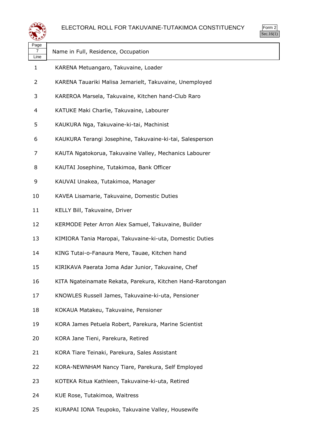

| Page<br>7<br>Line | Name in Full, Residence, Occupation                         |
|-------------------|-------------------------------------------------------------|
| 1                 | KARENA Metuangaro, Takuvaine, Loader                        |
| 2                 | KARENA Tauariki Malisa Jemarielt, Takuvaine, Unemployed     |
| 3                 | KAREROA Marsela, Takuvaine, Kitchen hand-Club Raro          |
| 4                 | KATUKE Maki Charlie, Takuvaine, Labourer                    |
| 5                 | KAUKURA Nga, Takuvaine-ki-tai, Machinist                    |
| 6                 | KAUKURA Terangi Josephine, Takuvaine-ki-tai, Salesperson    |
| 7                 | KAUTA Ngatokorua, Takuvaine Valley, Mechanics Labourer      |
| 8                 | KAUTAI Josephine, Tutakimoa, Bank Officer                   |
| 9                 | KAUVAI Unakea, Tutakimoa, Manager                           |
| 10                | KAVEA Lisamarie, Takuvaine, Domestic Duties                 |
| 11                | KELLY Bill, Takuvaine, Driver                               |
| 12                | KERMODE Peter Arron Alex Samuel, Takuvaine, Builder         |
| 13                | KIMIORA Tania Maropai, Takuvaine-ki-uta, Domestic Duties    |
| 14                | KING Tutai-o-Fanaura Mere, Tauae, Kitchen hand              |
| 15                | KIRIKAVA Paerata Joma Adar Junior, Takuvaine, Chef          |
| 16                | KITA Ngateinamate Rekata, Parekura, Kitchen Hand-Rarotongan |
| 17                | KNOWLES Russell James, Takuvaine-ki-uta, Pensioner          |
| 18                | KOKAUA Matakeu, Takuvaine, Pensioner                        |
| 19                | KORA James Petuela Robert, Parekura, Marine Scientist       |
| 20                | KORA Jane Tieni, Parekura, Retired                          |
| 21                | KORA Tiare Teinaki, Parekura, Sales Assistant               |
| 22                | KORA-NEWNHAM Nancy Tiare, Parekura, Self Employed           |
| 23                | KOTEKA Ritua Kathleen, Takuvaine-ki-uta, Retired            |
| 24                | KUE Rose, Tutakimoa, Waitress                               |
| 25                | KURAPAI IONA Teupoko, Takuvaine Valley, Housewife           |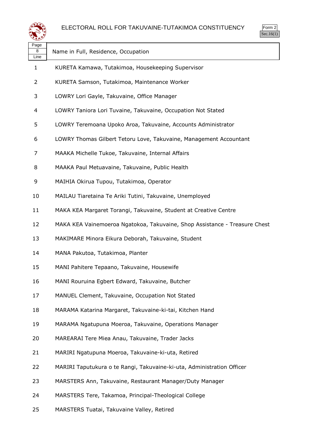

| Page<br>8<br>Line | Name in Full, Residence, Occupation                                        |
|-------------------|----------------------------------------------------------------------------|
| 1                 | KURETA Kamawa, Tutakimoa, Housekeeping Supervisor                          |
| 2                 | KURETA Samson, Tutakimoa, Maintenance Worker                               |
| 3                 | LOWRY Lori Gayle, Takuvaine, Office Manager                                |
| 4                 | LOWRY Taniora Lori Tuvaine, Takuvaine, Occupation Not Stated               |
| 5                 | LOWRY Teremoana Upoko Aroa, Takuvaine, Accounts Administrator              |
| 6                 | LOWRY Thomas Gilbert Tetoru Love, Takuvaine, Management Accountant         |
| 7                 | MAAKA Michelle Tukoe, Takuvaine, Internal Affairs                          |
| 8                 | MAAKA Paul Metuavaine, Takuvaine, Public Health                            |
| 9                 | MAIHIA Okirua Tupou, Tutakimoa, Operator                                   |
| 10                | MAILAU Tiaretaina Te Ariki Tutini, Takuvaine, Unemployed                   |
| 11                | MAKA KEA Margaret Torangi, Takuvaine, Student at Creative Centre           |
| 12                | MAKA KEA Vainemoeroa Ngatokoa, Takuvaine, Shop Assistance - Treasure Chest |
| 13                | MAKIMARE Minora Eikura Deborah, Takuvaine, Student                         |
| 14                | MANA Pakutoa, Tutakimoa, Planter                                           |
| 15                | MANI Pahitere Tepaano, Takuvaine, Housewife                                |
| 16                | MANI Rouruina Egbert Edward, Takuvaine, Butcher                            |
| 17                | MANUEL Clement, Takuvaine, Occupation Not Stated                           |
| 18                | MARAMA Katarina Margaret, Takuvaine-ki-tai, Kitchen Hand                   |
| 19                | MARAMA Ngatupuna Moeroa, Takuvaine, Operations Manager                     |
| 20                | MAREARAI Tere Miea Anau, Takuvaine, Trader Jacks                           |
| 21                | MARIRI Ngatupuna Moeroa, Takuvaine-ki-uta, Retired                         |
| 22                | MARIRI Taputukura o te Rangi, Takuvaine-ki-uta, Administration Officer     |
| 23                | MARSTERS Ann, Takuvaine, Restaurant Manager/Duty Manager                   |
| 24                | MARSTERS Tere, Takamoa, Principal-Theological College                      |
| 25                | MARSTERS Tuatai, Takuvaine Valley, Retired                                 |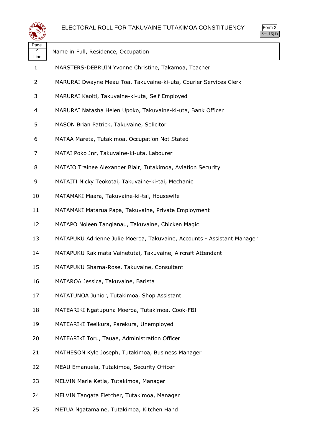

| . uyu<br>9<br>Line | Name in Full, Residence, Occupation                                     |
|--------------------|-------------------------------------------------------------------------|
| 1                  | MARSTERS-DEBRUIN Yvonne Christine, Takamoa, Teacher                     |
| $\overline{2}$     | MARURAI Dwayne Meau Toa, Takuvaine-ki-uta, Courier Services Clerk       |
| 3                  | MARURAI Kaoiti, Takuvaine-ki-uta, Self Employed                         |
| 4                  | MARURAI Natasha Helen Upoko, Takuvaine-ki-uta, Bank Officer             |
| 5                  | MASON Brian Patrick, Takuvaine, Solicitor                               |
| 6                  | MATAA Mareta, Tutakimoa, Occupation Not Stated                          |
| 7                  | MATAI Poko Jnr, Takuvaine-ki-uta, Labourer                              |
| 8                  | MATAIO Trainee Alexander Blair, Tutakimoa, Aviation Security            |
| 9                  | MATAITI Nicky Teokotai, Takuvaine-ki-tai, Mechanic                      |
| 10                 | MATAMAKI Maara, Takuvaine-ki-tai, Housewife                             |
| 11                 | MATAMAKI Matarua Papa, Takuvaine, Private Employment                    |
| 12                 | MATAPO Noleen Tangianau, Takuvaine, Chicken Magic                       |
| 13                 | MATAPUKU Adrienne Julie Moeroa, Takuvaine, Accounts - Assistant Manager |
| 14                 | MATAPUKU Rakimata Vainetutai, Takuvaine, Aircraft Attendant             |
| 15                 | MATAPUKU Sharna-Rose, Takuvaine, Consultant                             |
| 16                 | MATAROA Jessica, Takuvaine, Barista                                     |
| 17                 | MATATUNOA Junior, Tutakimoa, Shop Assistant                             |
| 18                 | MATEARIKI Ngatupuna Moeroa, Tutakimoa, Cook-FBI                         |
| 19                 | MATEARIKI Teeikura, Parekura, Unemployed                                |
| 20                 | MATEARIKI Toru, Tauae, Administration Officer                           |
| 21                 | MATHESON Kyle Joseph, Tutakimoa, Business Manager                       |
| 22                 | MEAU Emanuela, Tutakimoa, Security Officer                              |
| 23                 | MELVIN Marie Ketia, Tutakimoa, Manager                                  |
| 24                 | MELVIN Tangata Fletcher, Tutakimoa, Manager                             |
|                    |                                                                         |

METUA Ngatamaine, Tutakimoa, Kitchen Hand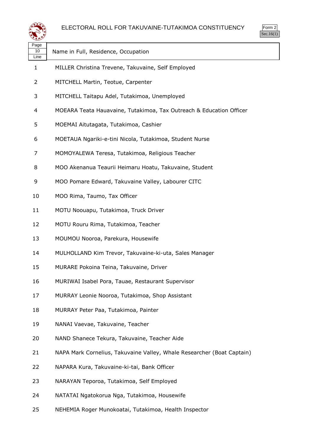

| Page<br>10<br>Line | Name in Full, Residence, Occupation                                    |
|--------------------|------------------------------------------------------------------------|
| 1                  | MILLER Christina Trevene, Takuvaine, Self Employed                     |
| 2                  | MITCHELL Martin, Teotue, Carpenter                                     |
| 3                  | MITCHELL Taitapu Adel, Tutakimoa, Unemployed                           |
| 4                  | MOEARA Teata Hauavaine, Tutakimoa, Tax Outreach & Education Officer    |
| 5                  | MOEMAI Aitutagata, Tutakimoa, Cashier                                  |
| 6                  | MOETAUA Ngariki-e-tini Nicola, Tutakimoa, Student Nurse                |
| 7                  | MOMOYALEWA Teresa, Tutakimoa, Religious Teacher                        |
| 8                  | MOO Akenanua Teaurii Heimaru Hoatu, Takuvaine, Student                 |
| 9                  | MOO Pomare Edward, Takuvaine Valley, Labourer CITC                     |
| 10                 | MOO Rima, Taumo, Tax Officer                                           |
| 11                 | MOTU Noouapu, Tutakimoa, Truck Driver                                  |
| 12                 | MOTU Rouru Rima, Tutakimoa, Teacher                                    |
| 13                 | MOUMOU Nooroa, Parekura, Housewife                                     |
| 14                 | MULHOLLAND Kim Trevor, Takuvaine-ki-uta, Sales Manager                 |
| 15                 | MURARE Pokoina Teina, Takuvaine, Driver                                |
| 16                 | MURIWAI Isabel Pora, Tauae, Restaurant Supervisor                      |
| 17                 | MURRAY Leonie Nooroa, Tutakimoa, Shop Assistant                        |
| 18                 | MURRAY Peter Paa, Tutakimoa, Painter                                   |
| 19                 | NANAI Vaevae, Takuvaine, Teacher                                       |
| 20                 | NAND Shanece Tekura, Takuvaine, Teacher Aide                           |
| 21                 | NAPA Mark Cornelius, Takuvaine Valley, Whale Researcher (Boat Captain) |
| 22                 | NAPARA Kura, Takuvaine-ki-tai, Bank Officer                            |
| 23                 | NARAYAN Teporoa, Tutakimoa, Self Employed                              |
| 24                 | NATATAI Ngatokorua Nga, Tutakimoa, Housewife                           |

NEHEMIA Roger Munokoatai, Tutakimoa, Health Inspector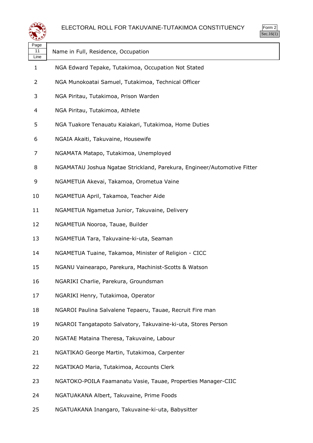

| Page<br>11<br>Line | Name in Full, Residence, Occupation                                     |
|--------------------|-------------------------------------------------------------------------|
| 1                  | NGA Edward Tepake, Tutakimoa, Occupation Not Stated                     |
| 2                  | NGA Munokoatai Samuel, Tutakimoa, Technical Officer                     |
| 3                  | NGA Piritau, Tutakimoa, Prison Warden                                   |
| 4                  | NGA Piritau, Tutakimoa, Athlete                                         |
| 5                  | NGA Tuakore Tenauatu Kaiakari, Tutakimoa, Home Duties                   |
| 6                  | NGAIA Akaiti, Takuvaine, Housewife                                      |
| 7                  | NGAMATA Matapo, Tutakimoa, Unemployed                                   |
| 8                  | NGAMATAU Joshua Ngatae Strickland, Parekura, Engineer/Automotive Fitter |
| 9                  | NGAMETUA Akevai, Takamoa, Orometua Vaine                                |
| 10                 | NGAMETUA April, Takamoa, Teacher Aide                                   |
| 11                 | NGAMETUA Ngametua Junior, Takuvaine, Delivery                           |
| 12                 | NGAMETUA Nooroa, Tauae, Builder                                         |
| 13                 | NGAMETUA Tara, Takuvaine-ki-uta, Seaman                                 |
| 14                 | NGAMETUA Tuaine, Takamoa, Minister of Religion - CICC                   |
| 15                 | NGANU Vainearapo, Parekura, Machinist-Scotts & Watson                   |
| 16                 | NGARIKI Charlie, Parekura, Groundsman                                   |
| 17                 | NGARIKI Henry, Tutakimoa, Operator                                      |
| 18                 | NGAROI Paulina Salvalene Tepaeru, Tauae, Recruit Fire man               |
| 19                 | NGAROI Tangatapoto Salvatory, Takuvaine-ki-uta, Stores Person           |
| 20                 | NGATAE Mataina Theresa, Takuvaine, Labour                               |
| 21                 | NGATIKAO George Martin, Tutakimoa, Carpenter                            |
| 22                 | NGATIKAO Maria, Tutakimoa, Accounts Clerk                               |
| 23                 | NGATOKO-POILA Faamanatu Vasie, Tauae, Properties Manager-CIIC           |
| 24                 | NGATUAKANA Albert, Takuvaine, Prime Foods                               |
|                    |                                                                         |

NGATUAKANA Inangaro, Takuvaine-ki-uta, Babysitter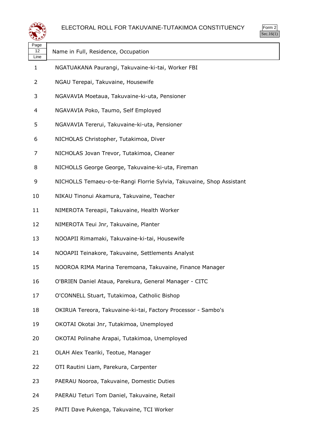



| Page<br>12<br>Line | Name in Full, Residence, Occupation                                  |
|--------------------|----------------------------------------------------------------------|
| 1                  | NGATUAKANA Paurangi, Takuvaine-ki-tai, Worker FBI                    |
| $\overline{2}$     | NGAU Terepai, Takuvaine, Housewife                                   |
| 3                  | NGAVAVIA Moetaua, Takuvaine-ki-uta, Pensioner                        |
| 4                  | NGAVAVIA Poko, Taumo, Self Employed                                  |
| 5                  | NGAVAVIA Tererui, Takuvaine-ki-uta, Pensioner                        |
| 6                  | NICHOLAS Christopher, Tutakimoa, Diver                               |
| 7                  | NICHOLAS Jovan Trevor, Tutakimoa, Cleaner                            |
| 8                  | NICHOLLS George George, Takuvaine-ki-uta, Fireman                    |
| 9                  | NICHOLLS Temaeu-o-te-Rangi Florrie Sylvia, Takuvaine, Shop Assistant |
| 10                 | NIKAU Tinonui Akamura, Takuvaine, Teacher                            |
| 11                 | NIMEROTA Tereapii, Takuvaine, Health Worker                          |
| 12                 | NIMEROTA Teui Jnr, Takuvaine, Planter                                |
| 13                 | NOOAPII Rimamaki, Takuvaine-ki-tai, Housewife                        |
| 14                 | NOOAPII Teinakore, Takuvaine, Settlements Analyst                    |
| 15                 | NOOROA RIMA Marina Teremoana, Takuvaine, Finance Manager             |
| 16                 | O'BRIEN Daniel Ataua, Parekura, General Manager - CITC               |
| 17                 | O'CONNELL Stuart, Tutakimoa, Catholic Bishop                         |
| 18                 | OKIRUA Tereora, Takuvaine-ki-tai, Factory Processor - Sambo's        |
| 19                 | OKOTAI Okotai Jnr, Tutakimoa, Unemployed                             |
| 20                 | OKOTAI Polinahe Arapai, Tutakimoa, Unemployed                        |
| 21                 | OLAH Alex Teariki, Teotue, Manager                                   |
| 22                 | OTI Rautini Liam, Parekura, Carpenter                                |
| 23                 | PAERAU Nooroa, Takuvaine, Domestic Duties                            |
| 24                 | PAERAU Teturi Tom Daniel, Takuvaine, Retail                          |
| 25                 | PAITI Dave Pukenga, Takuvaine, TCI Worker                            |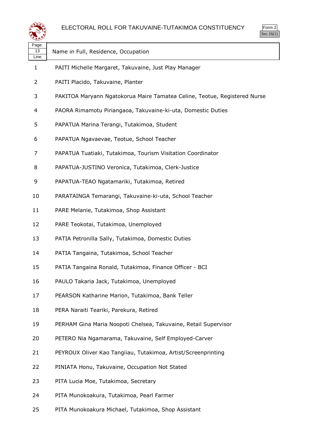

| Page<br>13<br>Line | Name in Full, Residence, Occupation                                       |
|--------------------|---------------------------------------------------------------------------|
| $\mathbf{1}$       | PAITI Michelle Margaret, Takuvaine, Just Play Manager                     |
| $\overline{2}$     | PAITI Placido, Takuvaine, Planter                                         |
| 3                  | PAKITOA Maryann Ngatokorua Maire Tamatea Celine, Teotue, Registered Nurse |
| 4                  | PAORA Rimamotu Piriangaoa, Takuvaine-ki-uta, Domestic Duties              |
| 5                  | PAPATUA Marina Terangi, Tutakimoa, Student                                |
| 6                  | PAPATUA Ngavaevae, Teotue, School Teacher                                 |
| 7                  | PAPATUA Tuatiaki, Tutakimoa, Tourism Visitation Coordinator               |
| 8                  | PAPATUA-JUSTINO Veronica, Tutakimoa, Clerk-Justice                        |
| 9                  | PAPATUA-TEAO Ngatamariki, Tutakimoa, Retired                              |
| 10                 | PARATAINGA Temarangi, Takuvaine-ki-uta, School Teacher                    |
| 11                 | PARE Melanie, Tutakimoa, Shop Assistant                                   |
| 12                 | PARE Teokotai, Tutakimoa, Unemployed                                      |
| 13                 | PATIA Petronilla Sally, Tutakimoa, Domestic Duties                        |
| 14                 | PATIA Tangaina, Tutakimoa, School Teacher                                 |
| 15                 | PATIA Tangaina Ronald, Tutakimoa, Finance Officer - BCI                   |
| 16                 | PAULO Takaria Jack, Tutakimoa, Unemployed                                 |
| 17                 | PEARSON Katharine Marion, Tutakimoa, Bank Teller                          |
| 18                 | PERA Naraiti Teariki, Parekura, Retired                                   |
| 19                 | PERHAM Gina Maria Noopoti Chelsea, Takuvaine, Retail Supervisor           |
| 20                 | PETERO Nia Ngamarama, Takuvaine, Self Employed-Carver                     |
| 21                 | PEYROUX Oliver Kao Tangiiau, Tutakimoa, Artist/Screenprinting             |
| 22                 | PINIATA Honu, Takuvaine, Occupation Not Stated                            |
| 23                 | PITA Lucia Moe, Tutakimoa, Secretary                                      |
| 24                 | PITA Munokoakura, Tutakimoa, Pearl Farmer                                 |
|                    |                                                                           |

PITA Munokoakura Michael, Tutakimoa, Shop Assistant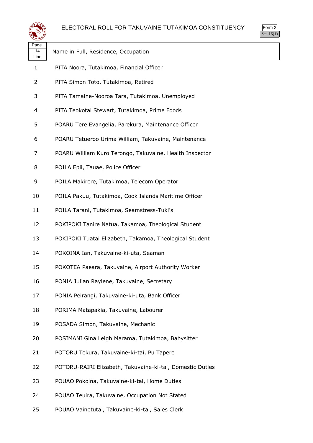

| m<br>г<br>., |
|--------------|
|              |

| Page<br>14<br>Line | Name in Full, Residence, Occupation                       |
|--------------------|-----------------------------------------------------------|
| 1                  | PITA Noora, Tutakimoa, Financial Officer                  |
| 2                  | PITA Simon Toto, Tutakimoa, Retired                       |
| 3                  | PITA Tamaine-Nooroa Tara, Tutakimoa, Unemployed           |
| 4                  | PITA Teokotai Stewart, Tutakimoa, Prime Foods             |
| 5                  | POARU Tere Evangelia, Parekura, Maintenance Officer       |
| 6                  | POARU Tetueroo Urima William, Takuvaine, Maintenance      |
| 7                  | POARU William Kuro Terongo, Takuvaine, Health Inspector   |
| 8                  | POILA Epii, Tauae, Police Officer                         |
| 9                  | POILA Makirere, Tutakimoa, Telecom Operator               |
| 10                 | POILA Pakuu, Tutakimoa, Cook Islands Maritime Officer     |
| 11                 | POILA Tarani, Tutakimoa, Seamstress-Tuki's                |
| 12                 | POKIPOKI Tanire Natua, Takamoa, Theological Student       |
| 13                 | POKIPOKI Tuatai Elizabeth, Takamoa, Theological Student   |
| 14                 | POKOINA Ian, Takuvaine-ki-uta, Seaman                     |
| 15                 | POKOTEA Paeara, Takuvaine, Airport Authority Worker       |
| 16                 | PONIA Julian Raylene, Takuvaine, Secretary                |
| 17                 | PONIA Peirangi, Takuvaine-ki-uta, Bank Officer            |
| 18                 | PORIMA Matapakia, Takuvaine, Labourer                     |
| 19                 | POSADA Simon, Takuvaine, Mechanic                         |
| 20                 | POSIMANI Gina Leigh Marama, Tutakimoa, Babysitter         |
| 21                 | POTORU Tekura, Takuvaine-ki-tai, Pu Tapere                |
| 22                 | POTORU-RAIRI Elizabeth, Takuvaine-ki-tai, Domestic Duties |
| 23                 | POUAO Pokoina, Takuvaine-ki-tai, Home Duties              |
| 24                 | POUAO Teuira, Takuvaine, Occupation Not Stated            |
| 25                 | POUAO Vainetutai, Takuvaine-ki-tai, Sales Clerk           |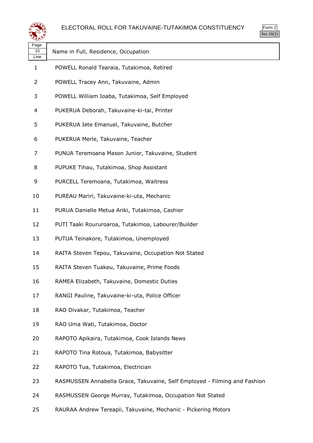

| rm<br>л |
|---------|
|         |

| Page<br>15<br>Line | Name in Full, Residence, Occupation                                       |
|--------------------|---------------------------------------------------------------------------|
| 1                  | POWELL Ronald Tearaia, Tutakimoa, Retired                                 |
| 2                  | POWELL Tracey Ann, Takuvaine, Admin                                       |
| 3                  | POWELL William Ioaba, Tutakimoa, Self Employed                            |
| 4                  | PUKERUA Deborah, Takuvaine-ki-tai, Printer                                |
| 5                  | PUKERUA Iete Emanuel, Takuvaine, Butcher                                  |
| 6                  | PUKERUA Merle, Takuvaine, Teacher                                         |
| 7                  | PUNUA Teremoana Mason Junior, Takuvaine, Student                          |
| 8                  | PUPUKE Tihau, Tutakimoa, Shop Assistant                                   |
| 9                  | PURCELL Teremoana, Tutakimoa, Waitress                                    |
| 10                 | PUREAU Mariri, Takuvaine-ki-uta, Mechanic                                 |
| 11                 | PURUA Danielle Metua Ariki, Tutakimoa, Cashier                            |
| 12                 | PUTI Taaki Roururoaroa, Tutakimoa, Labourer/Builder                       |
| 13                 | PUTUA Teinakore, Tutakimoa, Unemployed                                    |
| 14                 | RAITA Steven Tepou, Takuvaine, Occupation Not Stated                      |
| 15                 | RAITA Steven Tuakeu, Takuvaine, Prime Foods                               |
| 16                 | RAMEA Elizabeth, Takuvaine, Domestic Duties                               |
| 17                 | RANGI Pauline, Takuvaine-ki-uta, Police Officer                           |
| 18                 | RAO Divakar, Tutakimoa, Teacher                                           |
| 19                 | RAO Uma Wati, Tutakimoa, Doctor                                           |
| 20                 | RAPOTO Apikaira, Tutakimoa, Cook Islands News                             |
| 21                 | RAPOTO Tina Rotoua, Tutakimoa, Babysitter                                 |
| 22                 | RAPOTO Tua, Tutakimoa, Electrician                                        |
| 23                 | RASMUSSEN Annabella Grace, Takuvaine, Self Employed - Filming and Fashion |
| 24                 | RASMUSSEN George Murray, Tutakimoa, Occupation Not Stated                 |

RAURAA Andrew Tereapii, Takuvaine, Mechanic - Pickering Motors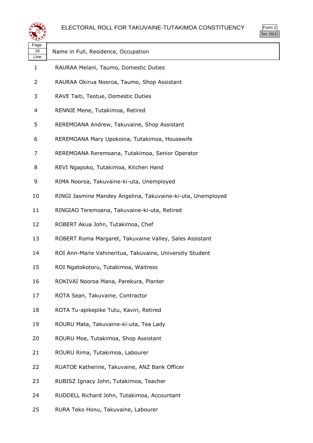



| Page<br>16<br>Line | Name in Full, Residence, Occupation                         |
|--------------------|-------------------------------------------------------------|
| 1                  | RAURAA Melani, Taumo, Domestic Duties                       |
| 2                  | RAURAA Okirua Nooroa, Taumo, Shop Assistant                 |
| 3                  | RAVE Taiti, Teotue, Domestic Duties                         |
| 4                  | RENNIE Mene, Tutakimoa, Retired                             |
| 5                  | REREMOANA Andrew, Takuvaine, Shop Assistant                 |
| 6                  | REREMOANA Mary Upokoina, Tutakimoa, Housewife               |
| 7                  | REREMOANA Reremoana, Tutakimoa, Senior Operator             |
| 8                  | REVI Ngapoko, Tutakimoa, Kitchen Hand                       |
| 9                  | RIMA Nooroa, Takuvaine-ki-uta, Unemployed                   |
| 10                 | RINGI Jasmine Mandey Angelina, Takuvaine-ki-uta, Unemployed |
| 11                 | RINGIAO Teremoana, Takuvaine-ki-uta, Retired                |
| 12                 | ROBERT Akua John, Tutakimoa, Chef                           |
| 13                 | ROBERT Roma Margaret, Takuvaine Valley, Sales Assistant     |
| 14                 | ROI Ann-Marie Vahineritua, Takuvaine, University Student    |
| 15                 | ROI Ngatokotoru, Tutakimoa, Waitress                        |
| 16                 | ROKIVAI Nooroa Mana, Parekura, Planter                      |
| 17                 | ROTA Sean, Takuvaine, Contractor                            |
| 18                 | ROTA Tu-apikepike Tutu, Kaviri, Retired                     |
| 19                 | ROURU Mata, Takuvaine-ki-uta, Tea Lady                      |
| 20                 | ROURU Moe, Tutakimoa, Shop Assistant                        |
| 21                 | ROURU Rima, Tutakimoa, Labourer                             |
| 22                 | RUATOE Katherine, Takuvaine, ANZ Bank Officer               |
| 23                 | RUBISZ Ignacy John, Tutakimoa, Teacher                      |
| 24                 | RUDDELL Richard John, Tutakimoa, Accountant                 |

RURA Teko Honu, Takuvaine, Labourer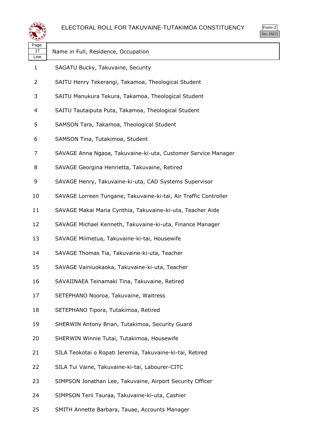

| Page<br>17<br>Line | Name in Full, Residence, Occupation                              |
|--------------------|------------------------------------------------------------------|
| 1                  | SAGATU Bucky, Takuvaine, Security                                |
| 2                  | SAITU Henry Tekerangi, Takamoa, Theological Student              |
| 3                  | SAITU Manukura Tekura, Takamoa, Theological Student              |
| 4                  | SAITU Tautaiputa Puta, Takamoa, Theological Student              |
| 5                  | SAMSON Tara, Takamoa, Theological Student                        |
| 6                  | SAMSON Tina, Tutakimoa, Student                                  |
| 7                  | SAVAGE Anna Ngaoa, Takuvaine-ki-uta, Customer Service Manager    |
| 8                  | SAVAGE Georgina Henrietta, Takuvaine, Retired                    |
| 9                  | SAVAGE Henry, Takuvaine-ki-uta, CAD Systems Supervisor           |
| 10                 | SAVAGE Lorreen Tungane, Takuvaine-ki-tai, Air Traffic Controller |
| 11                 | SAVAGE Makai Maria Cynthia, Takuvaine-ki-uta, Teacher Aide       |
| 12                 | SAVAGE Michael Kenneth, Takuvaine-ki-uta, Finance Manager        |
| 13                 | SAVAGE Miimetua, Takuvaine-ki-tai, Housewife                     |
| 14                 | SAVAGE Thomas Tia, Takuvaine-ki-uta, Teacher                     |
| 15                 | SAVAGE Vainiuokaoka, Takuvaine-ki-uta, Teacher                   |
| 16                 | SAVAIINAEA Teinamaki Tina, Takuvaine, Retired                    |
| 17                 | SETEPHANO Nooroa, Takuvaine, Waitress                            |
| 18                 | SETEPHANO Tipora, Tutakimoa, Retired                             |
| 19                 | SHERWIN Antony Brian, Tutakimoa, Security Guard                  |
| 20                 | SHERWIN Winnie Tutai, Tutakimoa, Housewife                       |
| 21                 | SILA Teokotai o Ropati Ieremia, Takuvaine-ki-tai, Retired        |
| 22                 | SILA Tui Vaine, Takuvaine-ki-tai, Labourer-CITC                  |
| 23                 | SIMPSON Jonathan Lee, Takuvaine, Airport Security Officer        |
| 24                 | SIMPSON Terii Tauraa, Takuvaine-ki-uta, Cashier                  |
| 25                 | SMITH Annette Barbara, Tauae, Accounts Manager                   |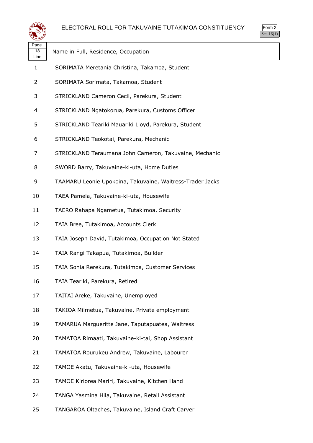



| Page<br>18<br>Line | Name in Full, Residence, Occupation                       |
|--------------------|-----------------------------------------------------------|
| $\mathbf{1}$       | SORIMATA Meretania Christina, Takamoa, Student            |
| 2                  | SORIMATA Sorimata, Takamoa, Student                       |
| 3                  | STRICKLAND Cameron Cecil, Parekura, Student               |
| 4                  | STRICKLAND Ngatokorua, Parekura, Customs Officer          |
| 5                  | STRICKLAND Teariki Mauariki Lloyd, Parekura, Student      |
| 6                  | STRICKLAND Teokotai, Parekura, Mechanic                   |
| 7                  | STRICKLAND Teraumana John Cameron, Takuvaine, Mechanic    |
| 8                  | SWORD Barry, Takuvaine-ki-uta, Home Duties                |
| 9                  | TAAMARU Leonie Upokoina, Takuvaine, Waitress-Trader Jacks |
| 10                 | TAEA Pamela, Takuvaine-ki-uta, Housewife                  |
| 11                 | TAERO Rahapa Ngametua, Tutakimoa, Security                |
| 12                 | TAIA Bree, Tutakimoa, Accounts Clerk                      |
| 13                 | TAIA Joseph David, Tutakimoa, Occupation Not Stated       |
| 14                 | TAIA Rangi Takapua, Tutakimoa, Builder                    |
| 15                 | TAIA Sonia Rerekura, Tutakimoa, Customer Services         |
| 16                 | TAIA Teariki, Parekura, Retired                           |
| 17                 | TAITAI Areke, Takuvaine, Unemployed                       |
| 18                 | TAKIOA Miimetua, Takuvaine, Private employment            |
| 19                 | TAMARUA Margueritte Jane, Taputapuatea, Waitress          |
| 20                 | TAMATOA Rimaati, Takuvaine-ki-tai, Shop Assistant         |
| 21                 | TAMATOA Rourukeu Andrew, Takuvaine, Labourer              |
| 22                 | TAMOE Akatu, Takuvaine-ki-uta, Housewife                  |
| 23                 | TAMOE Kiriorea Mariri, Takuvaine, Kitchen Hand            |
| 24                 | TANGA Yasmina Hila, Takuvaine, Retail Assistant           |
| 25                 | TANGAROA Oltaches, Takuvaine, Island Craft Carver         |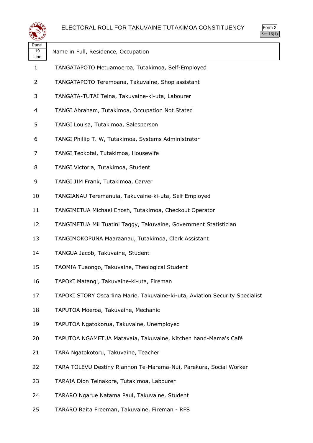

| Page<br>19<br>Line | Name in Full, Residence, Occupation                                          |
|--------------------|------------------------------------------------------------------------------|
| $\mathbf{1}$       | TANGATAPOTO Metuamoeroa, Tutakimoa, Self-Employed                            |
| $\overline{2}$     | TANGATAPOTO Teremoana, Takuvaine, Shop assistant                             |
| 3                  | TANGATA-TUTAI Teina, Takuvaine-ki-uta, Labourer                              |
| 4                  | TANGI Abraham, Tutakimoa, Occupation Not Stated                              |
| 5                  | TANGI Louisa, Tutakimoa, Salesperson                                         |
| 6                  | TANGI Phillip T. W, Tutakimoa, Systems Administrator                         |
| 7                  | TANGI Teokotai, Tutakimoa, Housewife                                         |
| 8                  | TANGI Victoria, Tutakimoa, Student                                           |
| 9                  | TANGI JIM Frank, Tutakimoa, Carver                                           |
| 10                 | TANGIANAU Teremanuia, Takuvaine-ki-uta, Self Employed                        |
| 11                 | TANGIMETUA Michael Enosh, Tutakimoa, Checkout Operator                       |
| 12                 | TANGIMETUA Mii Tuatini Taggy, Takuvaine, Government Statistician             |
| 13                 | TANGIMOKOPUNA Maaraanau, Tutakimoa, Clerk Assistant                          |
| 14                 | TANGUA Jacob, Takuvaine, Student                                             |
| 15                 | TAOMIA Tuaongo, Takuvaine, Theological Student                               |
| 16                 | TAPOKI Matangi, Takuvaine-ki-uta, Fireman                                    |
| 17                 | TAPOKI STORY Oscarlina Marie, Takuvaine-ki-uta, Aviation Security Specialist |
| 18                 | TAPUTOA Moeroa, Takuvaine, Mechanic                                          |
| 19                 | TAPUTOA Ngatokorua, Takuvaine, Unemployed                                    |
| 20                 | TAPUTOA NGAMETUA Matavaia, Takuvaine, Kitchen hand-Mama's Café               |
| 21                 | TARA Ngatokotoru, Takuvaine, Teacher                                         |
| 22                 | TARA TOLEVU Destiny Riannon Te-Marama-Nui, Parekura, Social Worker           |
| 23                 | TARAIA Dion Teinakore, Tutakimoa, Labourer                                   |
| 24                 | TARARO Ngarue Natama Paul, Takuvaine, Student                                |
| 25                 | TARARO Raita Freeman, Takuvaine, Fireman - RFS                               |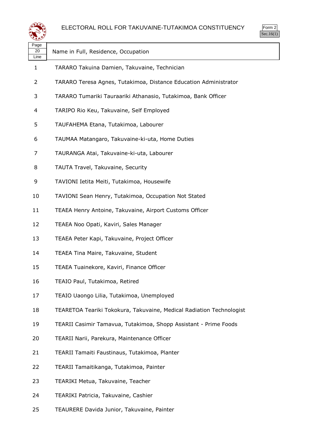

| Page<br>20<br>Line | Name in Full, Residence, Occupation                                  |
|--------------------|----------------------------------------------------------------------|
| $\mathbf{1}$       | TARARO Takuina Damien, Takuvaine, Technician                         |
| 2                  | TARARO Teresa Agnes, Tutakimoa, Distance Education Administrator     |
| 3                  | TARARO Tumariki Tauraariki Athanasio, Tutakimoa, Bank Officer        |
| 4                  | TARIPO Rio Keu, Takuvaine, Self Employed                             |
| 5                  | TAUFAHEMA Etana, Tutakimoa, Labourer                                 |
| 6                  | TAUMAA Matangaro, Takuvaine-ki-uta, Home Duties                      |
| 7                  | TAURANGA Atai, Takuvaine-ki-uta, Labourer                            |
| 8                  | TAUTA Travel, Takuvaine, Security                                    |
| 9                  | TAVIONI Ietita Meiti, Tutakimoa, Housewife                           |
| 10                 | TAVIONI Sean Henry, Tutakimoa, Occupation Not Stated                 |
| 11                 | TEAEA Henry Antoine, Takuvaine, Airport Customs Officer              |
| 12                 | TEAEA Noo Opati, Kaviri, Sales Manager                               |
| 13                 | TEAEA Peter Kapi, Takuvaine, Project Officer                         |
| 14                 | TEAEA Tina Maire, Takuvaine, Student                                 |
| 15                 | TEAEA Tuainekore, Kaviri, Finance Officer                            |
| 16                 | TEAIO Paul, Tutakimoa, Retired                                       |
| 17                 | TEAIO Uaongo Lilia, Tutakimoa, Unemployed                            |
| 18                 | TEARETOA Teariki Tokokura, Takuvaine, Medical Radiation Technologist |
| 19                 | TEARII Casimir Tamavua, Tutakimoa, Shopp Assistant - Prime Foods     |
| 20                 | TEARII Narii, Parekura, Maintenance Officer                          |
| 21                 | TEARII Tamaiti Faustinaus, Tutakimoa, Planter                        |
| 22                 | TEARII Tamaitikanga, Tutakimoa, Painter                              |
| 23                 | TEARIKI Metua, Takuvaine, Teacher                                    |
| 24                 | TEARIKI Patricia, Takuvaine, Cashier                                 |

TEAURERE Davida Junior, Takuvaine, Painter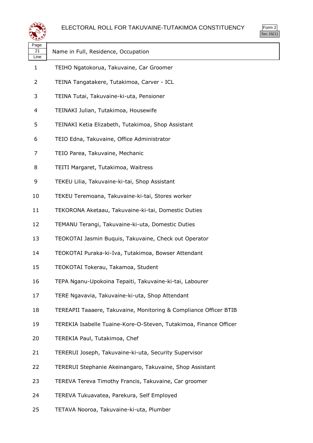



| Page<br>21<br>Line | Name in Full, Residence, Occupation                               |
|--------------------|-------------------------------------------------------------------|
| $\mathbf{1}$       | TEIHO Ngatokorua, Takuvaine, Car Groomer                          |
| $\overline{2}$     | TEINA Tangatakere, Tutakimoa, Carver - ICL                        |
| 3                  | TEINA Tutai, Takuvaine-ki-uta, Pensioner                          |
| 4                  | TEINAKI Julian, Tutakimoa, Housewife                              |
| 5                  | TEINAKI Ketia Elizabeth, Tutakimoa, Shop Assistant                |
| 6                  | TEIO Edna, Takuvaine, Office Administrator                        |
| 7                  | TEIO Parea, Takuvaine, Mechanic                                   |
| 8                  | TEITI Margaret, Tutakimoa, Waitress                               |
| 9                  | TEKEU Lilia, Takuvaine-ki-tai, Shop Assistant                     |
| 10                 | TEKEU Teremoana, Takuvaine-ki-tai, Stores worker                  |
| 11                 | TEKORONA Aketaau, Takuvaine-ki-tai, Domestic Duties               |
| 12                 | TEMANU Terangi, Takuvaine-ki-uta, Domestic Duties                 |
| 13                 | TEOKOTAI Jasmin Buquis, Takuvaine, Check out Operator             |
| 14                 | TEOKOTAI Puraka-ki-Iva, Tutakimoa, Bowser Attendant               |
| 15                 | TEOKOTAI Tokerau, Takamoa, Student                                |
| 16                 | TEPA Nganu-Upokoina Tepaiti, Takuvaine-ki-tai, Labourer           |
| 17                 | TERE Ngavavia, Takuvaine-ki-uta, Shop Attendant                   |
| 18                 | TEREAPII Taaaere, Takuvaine, Monitoring & Compliance Officer BTIB |
| 19                 | TEREKIA Isabelle Tuaine-Kore-O-Steven, Tutakimoa, Finance Officer |
| 20                 | TEREKIA Paul, Tutakimoa, Chef                                     |
| 21                 | TERERUI Joseph, Takuvaine-ki-uta, Security Supervisor             |
| 22                 | TERERUI Stephanie Akeinangaro, Takuvaine, Shop Assistant          |
| 23                 | TEREVA Tereva Timothy Francis, Takuvaine, Car groomer             |
| 24                 | TEREVA Tukuavatea, Parekura, Self Employed                        |
| 25                 | TETAVA Nooroa, Takuvaine-ki-uta, Plumber                          |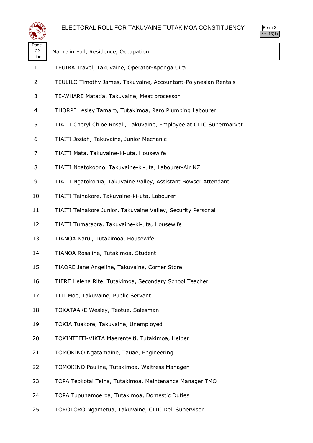

| Page<br>22<br>Line | Name in Full, Residence, Occupation                                 |
|--------------------|---------------------------------------------------------------------|
| $\mathbf{1}$       | TEUIRA Travel, Takuvaine, Operator-Aponga Uira                      |
| 2                  | TEULILO Timothy James, Takuvaine, Accountant-Polynesian Rentals     |
| 3                  | TE-WHARE Matatia, Takuvaine, Meat processor                         |
| 4                  | THORPE Lesley Tamaro, Tutakimoa, Raro Plumbing Labourer             |
| 5                  | TIAITI Cheryl Chloe Rosali, Takuvaine, Employee at CITC Supermarket |
| 6                  | TIAITI Josiah, Takuvaine, Junior Mechanic                           |
| 7                  | TIAITI Mata, Takuvaine-ki-uta, Housewife                            |
| 8                  | TIAITI Ngatokoono, Takuvaine-ki-uta, Labourer-Air NZ                |
| 9                  | TIAITI Ngatokorua, Takuvaine Valley, Assistant Bowser Attendant     |
| 10                 | TIAITI Teinakore, Takuvaine-ki-uta, Labourer                        |
| 11                 | TIAITI Teinakore Junior, Takuvaine Valley, Security Personal        |
| 12                 | TIAITI Tumataora, Takuvaine-ki-uta, Housewife                       |
| 13                 | TIANOA Narui, Tutakimoa, Housewife                                  |
| 14                 | TIANOA Rosaline, Tutakimoa, Student                                 |
| 15                 | TIAORE Jane Angeline, Takuvaine, Corner Store                       |
| 16                 | TIERE Helena Rite, Tutakimoa, Secondary School Teacher              |
| 17                 | TITI Moe, Takuvaine, Public Servant                                 |
| 18                 | TOKATAAKE Wesley, Teotue, Salesman                                  |
| 19                 | TOKIA Tuakore, Takuvaine, Unemployed                                |
| 20                 | TOKINTEITI-VIKTA Maerenteiti, Tutakimoa, Helper                     |
| 21                 | TOMOKINO Ngatamaine, Tauae, Engineering                             |
| 22                 | TOMOKINO Pauline, Tutakimoa, Waitress Manager                       |
| 23                 | TOPA Teokotai Teina, Tutakimoa, Maintenance Manager TMO             |
| 24                 | TOPA Tupunamoeroa, Tutakimoa, Domestic Duties                       |
|                    |                                                                     |

TOROTORO Ngametua, Takuvaine, CITC Deli Supervisor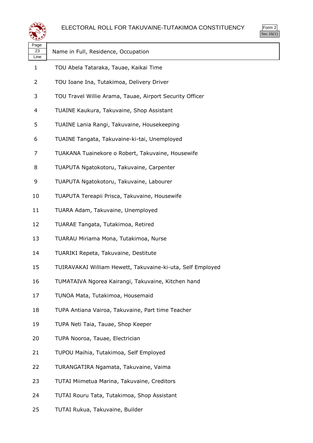



| Page<br>23<br>Line | Name in Full, Residence, Occupation                        |
|--------------------|------------------------------------------------------------|
| $\mathbf{1}$       | TOU Abela Tataraka, Tauae, Kaikai Time                     |
| $\overline{2}$     | TOU Ioane Ina, Tutakimoa, Delivery Driver                  |
| 3                  | TOU Travel Willie Arama, Tauae, Airport Security Officer   |
| 4                  | TUAINE Kaukura, Takuvaine, Shop Assistant                  |
| 5                  | TUAINE Lania Rangi, Takuvaine, Housekeeping                |
| 6                  | TUAINE Tangata, Takuvaine-ki-tai, Unemployed               |
| 7                  | TUAKANA Tuainekore o Robert, Takuvaine, Housewife          |
| 8                  | TUAPUTA Ngatokotoru, Takuvaine, Carpenter                  |
| 9                  | TUAPUTA Ngatokotoru, Takuvaine, Labourer                   |
| 10                 | TUAPUTA Tereapii Prisca, Takuvaine, Housewife              |
| 11                 | TUARA Adam, Takuvaine, Unemployed                          |
| 12                 | TUARAE Tangata, Tutakimoa, Retired                         |
| 13                 | TUARAU Miriama Mona, Tutakimoa, Nurse                      |
| 14                 | TUARIKI Repeta, Takuvaine, Destitute                       |
| 15                 | TUIRAVAKAI William Hewett, Takuvaine-ki-uta, Self Employed |
| 16                 | TUMATAIVA Ngorea Kairangi, Takuvaine, Kitchen hand         |
| 17                 | TUNOA Mata, Tutakimoa, Housemaid                           |
| 18                 | TUPA Antiana Vairoa, Takuvaine, Part time Teacher          |
| 19                 | TUPA Neti Taia, Tauae, Shop Keeper                         |
| 20                 | TUPA Nooroa, Tauae, Electrician                            |
| 21                 | TUPOU Maihia, Tutakimoa, Self Employed                     |
| 22                 | TURANGATIRA Ngamata, Takuvaine, Vaima                      |
| 23                 | TUTAI Miimetua Marina, Takuvaine, Creditors                |
| 24                 | TUTAI Rouru Tata, Tutakimoa, Shop Assistant                |
| 25                 | TUTAI Rukua, Takuvaine, Builder                            |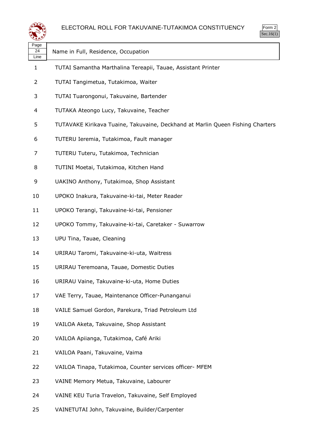

| ৼ±≠৴               |                                                                                |
|--------------------|--------------------------------------------------------------------------------|
| Page<br>24<br>Line | Name in Full, Residence, Occupation                                            |
| 1                  | TUTAI Samantha Marthalina Tereapii, Tauae, Assistant Printer                   |
| 2                  | TUTAI Tangimetua, Tutakimoa, Waiter                                            |
| 3                  | TUTAI Tuarongonui, Takuvaine, Bartender                                        |
| 4                  | TUTAKA Ateongo Lucy, Takuvaine, Teacher                                        |
| 5                  | TUTAVAKE Kirikava Tuaine, Takuvaine, Deckhand at Marlin Queen Fishing Charters |
| 6                  | TUTERU Ieremia, Tutakimoa, Fault manager                                       |
| 7                  | TUTERU Tuteru, Tutakimoa, Technician                                           |
| 8                  | TUTINI Moetai, Tutakimoa, Kitchen Hand                                         |
| 9                  | UAKINO Anthony, Tutakimoa, Shop Assistant                                      |
| 10                 | UPOKO Inakura, Takuvaine-ki-tai, Meter Reader                                  |
| 11                 | UPOKO Terangi, Takuvaine-ki-tai, Pensioner                                     |
| 12                 | UPOKO Tommy, Takuvaine-ki-tai, Caretaker - Suwarrow                            |
| 13                 | UPU Tina, Tauae, Cleaning                                                      |
| 14                 | URIRAU Taromi, Takuvaine-ki-uta, Waitress                                      |
| 15                 | URIRAU Teremoana, Tauae, Domestic Duties                                       |
| 16                 | URIRAU Vaine, Takuvaine-ki-uta, Home Duties                                    |
| 17                 | VAE Terry, Tauae, Maintenance Officer-Punanganui                               |
| 18                 | VAILE Samuel Gordon, Parekura, Triad Petroleum Ltd                             |
| 19                 | VAILOA Aketa, Takuvaine, Shop Assistant                                        |
| 20                 | VAILOA Apiianga, Tutakimoa, Café Ariki                                         |
| 21                 | VAILOA Paani, Takuvaine, Vaima                                                 |
| 22                 | VAILOA Tinapa, Tutakimoa, Counter services officer- MFEM                       |
| 23                 | VAINE Memory Metua, Takuvaine, Labourer                                        |
| 24                 | VAINE KEU Turia Travelon, Takuvaine, Self Employed                             |
|                    |                                                                                |

VAINETUTAI John, Takuvaine, Builder/Carpenter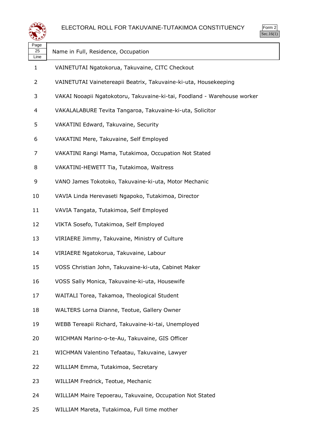

| Page<br>25<br>Line | Name in Full, Residence, Occupation                                      |
|--------------------|--------------------------------------------------------------------------|
| $\mathbf{1}$       | VAINETUTAI Ngatokorua, Takuvaine, CITC Checkout                          |
| 2                  | VAINETUTAI Vainetereapii Beatrix, Takuvaine-ki-uta, Housekeeping         |
| 3                  | VAKAI Nooapii Ngatokotoru, Takuvaine-ki-tai, Foodland - Warehouse worker |
| 4                  | VAKALALABURE Tevita Tangaroa, Takuvaine-ki-uta, Solicitor                |
| 5                  | VAKATINI Edward, Takuvaine, Security                                     |
| 6                  | VAKATINI Mere, Takuvaine, Self Employed                                  |
| 7                  | VAKATINI Rangi Mama, Tutakimoa, Occupation Not Stated                    |
| 8                  | VAKATINI-HEWETT Tia, Tutakimoa, Waitress                                 |
| 9                  | VANO James Tokotoko, Takuvaine-ki-uta, Motor Mechanic                    |
| 10                 | VAVIA Linda Herevaseti Ngapoko, Tutakimoa, Director                      |
| 11                 | VAVIA Tangata, Tutakimoa, Self Employed                                  |
| 12                 | VIKTA Sosefo, Tutakimoa, Self Employed                                   |
| 13                 | VIRIAERE Jimmy, Takuvaine, Ministry of Culture                           |
| 14                 | VIRIAERE Ngatokorua, Takuvaine, Labour                                   |
| 15                 | VOSS Christian John, Takuvaine-ki-uta, Cabinet Maker                     |
| 16                 | VOSS Sally Monica, Takuvaine-ki-uta, Housewife                           |
| 17                 | WAITALI Torea, Takamoa, Theological Student                              |
| 18                 | WALTERS Lorna Dianne, Teotue, Gallery Owner                              |
| 19                 | WEBB Tereapii Richard, Takuvaine-ki-tai, Unemployed                      |
| 20                 | WICHMAN Marino-o-te-Au, Takuvaine, GIS Officer                           |
| 21                 | WICHMAN Valentino Tefaatau, Takuvaine, Lawyer                            |
| 22                 | WILLIAM Emma, Tutakimoa, Secretary                                       |
| 23                 | WILLIAM Fredrick, Teotue, Mechanic                                       |
| 24                 | WILLIAM Maire Tepoerau, Takuvaine, Occupation Not Stated                 |
|                    |                                                                          |

WILLIAM Mareta, Tutakimoa, Full time mother